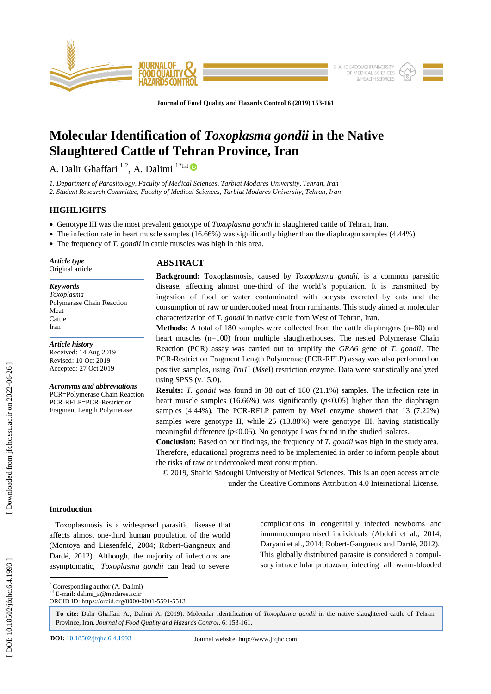

**Journal of Food Quality and Hazards Control 6 (201 9) 153 - 161**

# **Molecular Identification of** *Toxoplasma gondii* **in the Native Slaughtered Cattle of Tehran Province, Iran**

A. Dalir Ghaffari <sup>1,2</sup>, A. Dalimi <sup>1\*⊠</sup>

*1. Department of Parasitology, Faculty of Medical Sciences, Tarbiat Modares University, Tehran, Iran 2. Student Research Committee, Faculty of Medical Sciences, Tarbiat Modares University, Tehran, Iran*

# **HIGHLIGHTS**

- Genotype III was the most prevalent genotype of *Toxoplasma gondii* in slaughtered cattle of Tehran, Iran.
- The infection rate in heart muscle samples (16.66%) was significantly higher than the diaphragm samples (4.44%).
- The frequency of *T. gondii* in cattle muscles was high in this area.

*Article type* Original article

*Keywords Toxoplasma* Polymerase Chain Reaction Meat Cattle Iran

*Article history* Received: 1 4 Aug 2019 Revised: 10 Oct 2019 Accepted: 27 Oct 2019

*Acronyms and abbreviations* PCR=Polymerase Chain Reaction PCR -RFLP=PCR -Restriction Fragment Length Polymerase

# **ABSTRACT**

**Background:** Toxoplasmosis, caused by *Toxoplasma gondii*, is a common parasitic disease, affecting almost one -third of the world's population. It is transmitted by ingestion of food or water contaminated with oocysts excreted by cats and the consumption of raw or undercooked meat from ruminants. This study aimed at molecular characterization of *T. gondii* in native cattle from West of Tehran, Iran.

**Methods:** A total of 180 samples were collected from the cattle diaphragms (n=80) and heart muscles (n=100) from multiple slaughterhouses. The nested Polymerase Chain Reaction (PCR) assay was carried out to amplify the *GRA6* gene of *T. gondii*. The PCR -Restriction Fragment Length Polymerase (PCR -RFLP) assay was also performed on positive samples, using *Tru1*I (*Mse*I) restriction enzyme. Data were statistically analyzed using SPSS (v.15.0).

**Results:** *T. gondii* was found in 38 out of 180 (21.1%) samples. The infection rate in heart muscle samples (16.66%) was significantly  $(p<0.05)$  higher than the diaphragm samples (4.44%). The PCR -RFLP pattern by *Mse*I enzyme showed that 13 (7.22%) samples were genotype II, while 25 (13.88%) were genotype III, having statistically meaningful difference  $(p<0.05)$ . No genotype I was found in the studied isolates.

**Conclusion:** Based on our findings, the frequency of *T. gondii* was high in the study area. Therefore, educational programs need to be implemented in order to inform people about the risks of raw or undercooked meat consumption.

© 201 9, Shahid Sadoughi University of Medical Sciences. This is an open access article under the Creative Commons Attribution 4.0 International License.

# **Introduction**

 Toxoplasmosis is a widespread parasitic disease that affects almost one -third human population of the world (Montoya and Liesenfeld, 2004; Robert -Gangneux and Dardé, 2012). Although, the majority of infections are asymptomatic, *Toxoplasma gondii* can lead to severe

complications in congenitally infected newborns and immunocompromised individuals (Abdoli et al., 2014; Daryani et al., 2014; Robert -Gangneux and Dardé, 2012) . This globally distributed parasite is considered a compulsory intracellular protozoan, infecting all warm-blooded

\* Corresponding author (A. Dalimi)

To cite: Dalir Ghaffari A., Dalimi A. (2019). Molecular identification of *Toxoplasma gondii* in the native slaughtered cattle of Tehran Province, Iran. Journal of Food Quality and Hazards Control. 6: 153-161.

 $E$ -mail: dalimi\_a@modares.ac.ir ORCID ID: https://orcid.org/0000-0001-5591-5513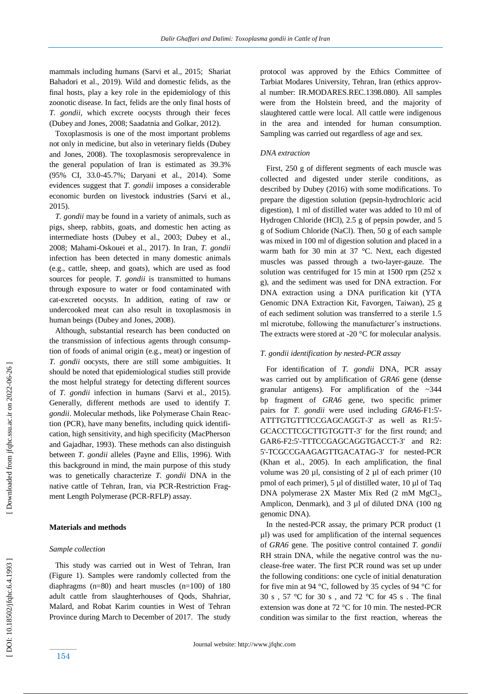mammals including humans (Sarvi et al., 2015; Shariat Bahadori et al., 201 9 ). Wild and domestic felids, as the final hosts, play a key role in the epidemiology of this zoonotic disease. In fact, felids are the only final hosts of *T. gondii*, which excrete oocysts through their feces (Dubey and Jones, 2008; Saadatnia and Golkar, 2012).

 Toxoplasmosis is one of the most important problems not only in medicine, but also in veterinary fields (Dubey and Jones, 2008). The toxoplasmosis seroprevalence in the general population of Iran is estimated as 39.3% (95% CI, 33.0 -45.7%; Daryani et al., 2014). Some evidences suggest that *T. gondii* imposes a considerable economic burden on livestock industries (Sarvi et al., 2015).

 *T. gondii* may be found in a variety of animals, such as pigs, sheep, rabbits, goats, and domestic hen acting as intermediate hosts (Dubey et al., 2003; Dubey et al., 2008; Mahami -Oskouei et al., 2017). In Iran, *T. gondii*  infection has been detected in many domestic animals (e.g., cattle, sheep, and goats), which are used as food sources for people. *T. gondii* is transmitted to humans through exposure to water or food contaminated with cat -excreted oocysts. In addition, eating of raw or undercooked meat can also result in toxoplasmosis in human being s (Dubey and Jones, 2008).

 Although, substantial research has been conducted on the transmission of infectious agents through consumption of foods of animal origin (e.g., meat) or ingestion of *T. gondii* oocysts, there are still some ambiguities. It should be noted that epidemiological studies still provide the most helpful strategy for detecting different sources of *T. gondii* infection in humans (Sarvi et al., 2015). Generally, different methods are used to identify *T. gondii*. Molecular methods, like Polymerase Chain Reaction (PCR), have many benefits, including quick identification, high sensitivity, and high specificity (MacPherson and Gajadhar, 1993). These methods can also distinguish between *T. gondii* alleles (Payne and Ellis, 1996). With this background in mind, the main purpose of this study was to genetically characterize *T. gondii* DNA in the native cattle of Tehran, Iran, via PCR -Restriction Fragment Length Polymerase (PCR-RFLP) assay.

## **Materials and methods**

#### *Sample collection*

 This study was carried out in West of Tehran, Iran (Figure 1). Samples were randomly collected from the diaphragms (n=80) and heart muscles (n=100) of 180 adult cattle from slaughterhouses of Qods, Shahriar, Malard, and Robat Karim counties in West of Tehran Province during March to December of 2017. The study protocol was approved by the Ethics Committee of Tarbiat Modares University, Tehran, Iran (ethics approval number: IR.MODARES.REC.1398.080). All samples were from the Holstein breed, and the majority of slaughtered cattle were local. All cattle were indigenous in the area and intended for human consumption. Sampling was carried out regardless of age and sex.

## *DNA extraction*

 First, 250 g of different segments of each muscle was collected and digested under sterile conditions, as described by Dubey (2016) with some modifications. To prepare the digestion solution (pepsin -hydrochloric acid digestion), 1 ml of distilled water was added to 10 ml of Hydrogen Chloride (HCl), 2.5 g of pepsin powder, and 5 g of Sodium Chloride (NaCl). Then, 50 g of each sample was mixed in 100 ml of digestion solution and placed in a warm bath for 30 min at 37 °C. Next, each digested muscles was passed through a two -layer -gauze. The solution was centrifuged for 15 min at 1500 rpm (252 x g), and the sediment was used for DNA extraction. For DNA extraction using a DNA purification kit (YTA Genomic DNA Extraction Kit, Favorgen, Taiwan), 25 g of each sediment solution was transferred to a sterile 1.5 ml microtube, following the manufacturer's instructions. The extracts were stored at -20  $^{\circ}$ C for molecular analysis.

#### *T. gondii identification by nested -PCR assay*

 For identification of *T. gondii* DNA, PCR assay was carried out by amplification of *GRA6* gene (dense granular antigens) *.* For amplification of the ~344 bp fragment of *GRA6* gene, two specific primer pairs for *T. gondii* were used including *GRA6-F1:5'-*ATTTGTGTTTCCGAGCAGGT -3' as well as R1:5' - GCACCTTCGCTTGTGGTT -3' for the first round; and GAR6-F2:5'-TTTCCGAGCAGGTGACCT-3' and R2: 5' -TCGCCGAAGAGTTGACATAG -3' for nested -PCR (Khan et al., 2005). In each amplification, the final volume was 20  $\mu$ l, consisting of 2  $\mu$ l of each primer (10 pmol of each primer), 5 µl of distilled water, 10 µl of Taq DNA polymerase 2X Master Mix Red (2 mM MgCl<sub>2</sub>, Amplicon, Denmark), and 3 µl of diluted DNA (100 ng genomic DNA).

 In the nested -PCR assay, the primary PCR product (1 µl) was used for amplification of the internal sequences of *GRA6* gene. The positive control contained *T. gondii* RH strain DNA, while the negative control was the nuclease-free water. The first PCR round was set up under the following conditions: one cycle of initial denaturation for five min at 94 °C, followed by 35 cycles of 94 °C for 30 s , 57 °C for 30 s , and 72 °C for 45 s . The final extension was done at 72 °C for 10 min. The nested-PCR condition was similar to the first reaction, whereas the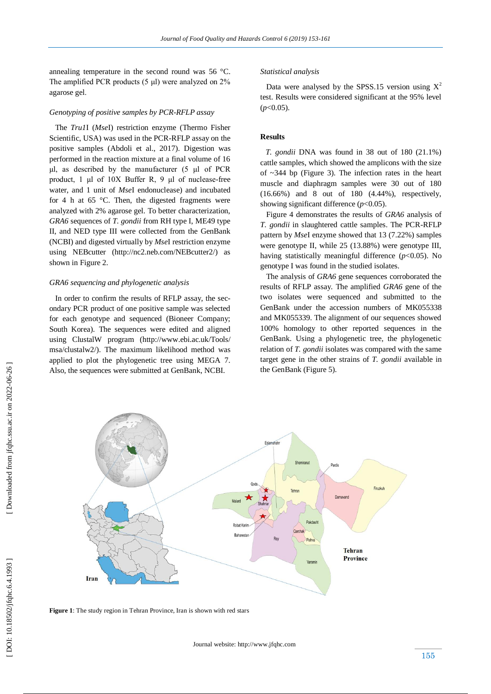annealing temperature in the second round was 56 °C. The amplified PCR products (5 μl) were analyzed on 2% agarose gel .

## *Genotyping of positive samples by PCR -RFLP assay*

 The *Tru1*I (*Mse*I) restriction enzyme (Thermo Fisher Scientific, USA) was used in the PCR -RFLP assay on the positive samples (Abdoli et al., 2017). Digestion was performed in the reaction mixture at a final volume of 16 μl, as described by the manufacturer (5 μl of PCR product, 1 μl of 10X Buffer R, 9 μl of nuclease -free water, and 1 unit of *Mse*I endonuclease) and incubated for 4 h at 65 °C. Then, the digested fragments were analyzed with 2% agarose gel. To better characterization, *GRA6* sequences of *T. gondii* from RH type I, ME49 type II, and NED type III were collected from the GenBank (NCBI) and digested virtually by *Mse*I restriction enzyme using NEBcutter (http://nc2.neb.com/NEBcutter2/) as shown in Figure 2.

#### *GRA6 sequencing and phylogenetic analysis*

 In order to confirm the results of RFLP assay, the secondary PCR product of one positive sample was selected for each genotype and sequenced (Bioneer Company; South Korea). The sequences were edited and aligned using ClustalW program (http://www.ebi.ac.uk/Tools/ msa/clustalw2/). The maximum likelihood method was applied to plot the phylogenetic tree using MEGA 7. Also, the sequences were submitted at GenBank, NCBI.

#### *Statistical analysis*

Data were analysed by the SPSS.15 version using  $X^2$ test. Results were considered significant at the 95% level (*p*<0.05).

## **Results**

 *T. gondii* DNA was found in 38 out of 180 (21.1%) cattle samples, which showed the amplicons with the size of  $\sim$ 344 bp (Figure 3). The infection rates in the heart muscle and diaphragm samples were 30 out of 180 (16.66%) and 8 out of 180 (4.44%), respectively, showing significant difference  $(p<0.05)$ .

 Figure 4 demonstrates the results of *GRA6* analysis of *T. gondii* in slaughtered cattle samples. The PCR -RFLP pattern by *Mse*I enzyme showed that 13 (7.22%) samples were genotype II, while 25 (13.88%) were genotype III, having statistically meaningful difference  $(p<0.05)$ . No genotype I was found in the studied isolates.

 The analysis of *GRA6* gene sequences corroborated the results of RFLP assay. The amplified *GRA6* gene of the two isolates were sequenced and submitted to the GenBank under the accession numbers of MK055338 and MK055339. The alignment of our sequences showed 100% homology to other reported sequences in the GenBank. Using a phylogenetic tree , the phylogenetic relation of *T. gondii* isolates was compared with the same target gene in the other strains of *T. gondii* available in the GenBank (Figure 5).



**Figure 1**: The study region in Tehran Province, Iran is shown with red stars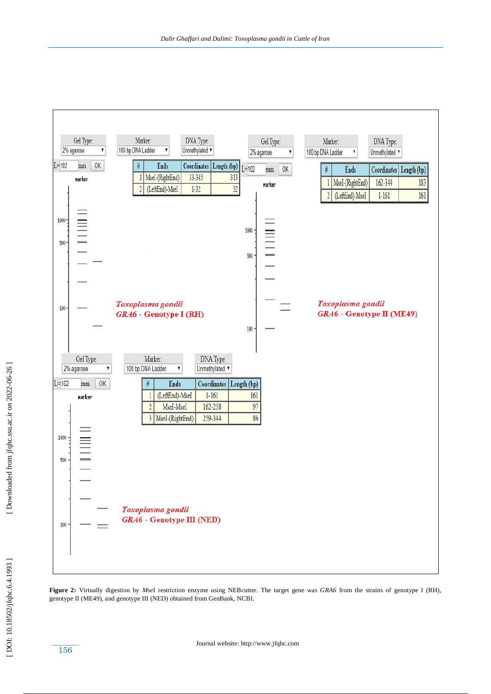

Figure 2: Virtually digestion by *Msel* restriction enzyme using NEB cutter. The target gene was *GRA6* from the strains of genotype I (RH), genotype II (ME49), and genotype III (NED) obtained from GenBank, NCBI.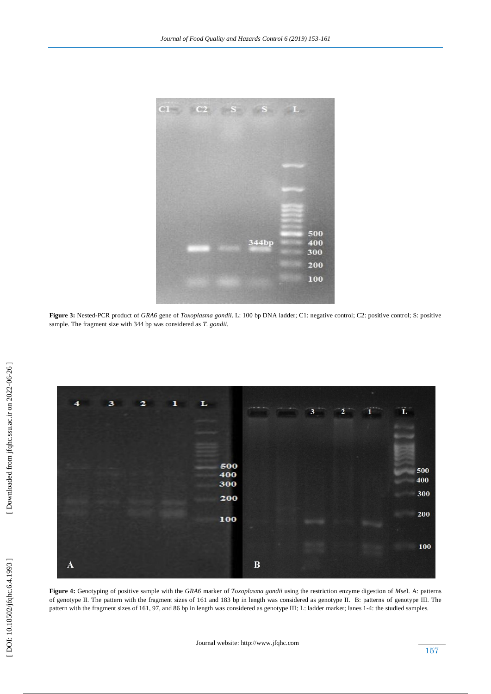

**Figure 3 :** Nested -PCR product of *GRA6* gene of *Toxoplasma gondii*. L: 100 bp DNA ladder; C1: negative control; C2: positive control; S: positive sample. The fragment size with 344 bp was considered as *T. gondii* .



**Figure 4 :** Genotyping of positive sample with the *GRA6* marker of *Toxoplasma gondii* using the restriction enzyme digestion of *Mse*I. A: patterns of genotype II. The pattern with the fragment sizes of 161 and 183 bp in length was considered as genotype II. B: patterns of genotype III. The pattern with the fragment sizes of 161, 97, and 86 bp in length was considered as genotype III; L: ladder marker; lanes 1-4: the studied samples.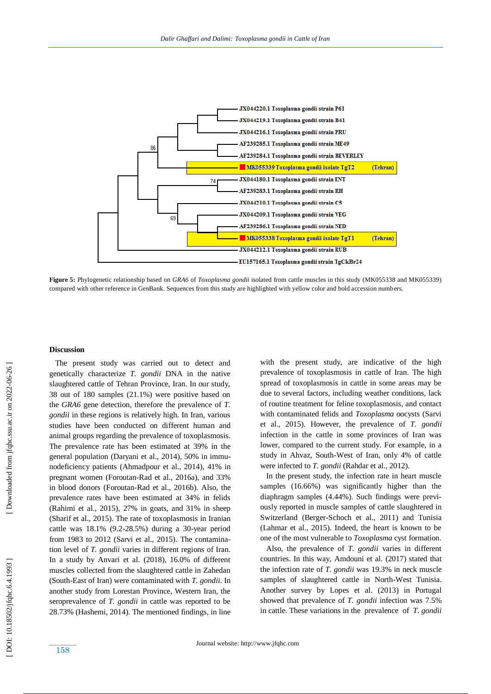

**Figure 5 :** Phylogenetic relationship based on *GRA6* of *Toxoplasma gondii* isolated from cattle muscles in this study (MK055338 and MK055339) compared with other reference in GenBank. Sequences from this study are highlighted with yellow color and bold accession numbers.

## **Discussion**

 The present study was carried out to detect and genetically characterize *T. gondii* DNA in the native slaughtered cattle of Tehran Province, Iran. In our study, 38 out of 180 samples (21.1%) were positive based on the *GRA6* gene detection, therefore the prevalence of *T. gondii* in these regions is relatively high. In Iran, various studies have been conducted on different human and animal groups regarding the prevalence of toxoplasmosis. The prevalence rate has been estimated at 39% in the general population (Daryani et al., 2014), 50% in immunodeficiency patients (Ahmadpour et al., 2014), 41% in pregnant women (Foroutan -Rad et al., 2016 a ), and 33% in blood donors (Foroutan -Rad et al., 2016 b ). Also, the prevalence rates have been estimated at 34% in felids (Rahimi et al., 2015), 27% in goats, and 31% in sheep (Sharif et al., 2015) . The rate of toxoplasmosis in Iranian cattle was 18.1% (9.2 -28.5%) during a 30 -year period from 1983 to 2012 (Sarvi et al., 2015) . The contamination level of *T. gondii* varies in different regions of Iran. In a study by Anvari et al. (2018), 16.0% of different muscles collected from the slaughtered cattle in Zahedan (South - East of Iran) were contaminated with *T. gondii*. In another study from Lorestan Province, Western Iran, the seroprevalence of *T. gondii* in cattle was reported to be 28.73% (Hashemi, 2014). The mentioned findings, in line

with the present study, are indicative of the high prevalence of toxoplasmosis in cattle of Iran . The high spread of toxoplasmosis in cattle in some areas may be due to several factors, including weather conditions, lack of routine treatment for feline toxoplasmosis, and contact with contaminated felids and *Toxoplasma* oocysts (Sarvi et al., 2015). However, the prevalence of *T. gondii*  infection in the cattle in some provinces of Iran was lower, compared to the current study. For example, in a study in Ahvaz, South - West of Iran, only 4% of cattle were infected to *T. gondii* (Rahdar et al., 2012) .

 In the present study, the infection rate in heart muscle samples (16.66%) was significantly higher than the diaphragm samples (4.44%). Such findings were previously reported in muscle samples of cattle slaughtered in Switzerland (Berger -Schoch et al., 2011) and Tunisia (Lahmar et al., 2015). Indeed, the heart is known to be one of the most vulnerable to *Toxoplasma* cyst formation.

 Also, the prevalence of *T. gondii* varies in different countries. In this way, Amdouni et al. (2017) stated that the infection rate of *T. gondii* was 19.3% in neck muscle samples of slaughtered cattle in North-West Tunisia. Another survey by Lopes et al. (2013) in Portugal showed that prevalence of *T. gondii* infection was 7.5% in cattle. These variations in the prevalence of *T. gondii*

158

DOI: 10.18502/jfqhc.6.4.1993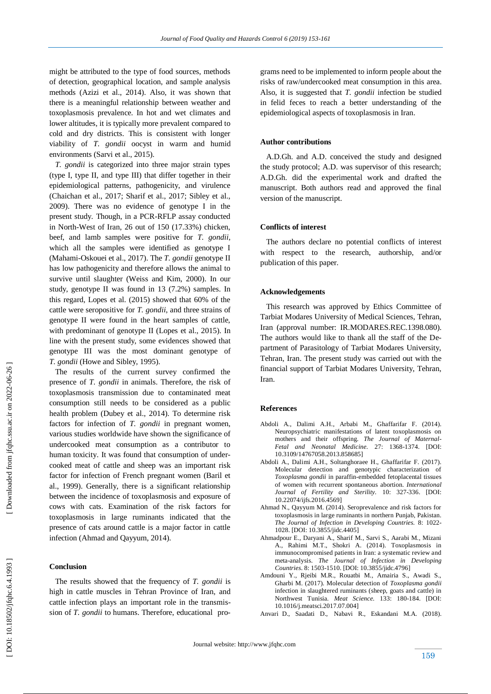might be attributed to the type of food sources, methods of detection, geographical location, and sample analysis methods (Azizi et al., 2014) . Also, it was shown that there is a meaningful relationship between weather and toxoplasmosis prevalence. In hot and wet climates and lower altitudes, it is typically more prevalent compared to cold and dry districts. This is consistent with longer viability of *T. gondii* oocyst in warm and humid environments (Sarvi et al., 2015).

 *T. gondii* is categorized into three major strain types (type I, type II, and type III) that differ together in their epidemiological patterns, pathogenicity, and virulence (Chaichan et al., 2017; Sharif et al., 2017; Sibley et al., 2009). There was no evidence of genotype I in the present study. Though, in a PCR -RFLP assay conducted in North -West of Iran, 26 out of 150 (17.33%) chicken, beef, and lamb samples were positive for *T. gondii,*  which all the samples were identified as genotype I (Mahami -Oskouei et al., 2017) . The *T. gondii* genotype II has low pathogenicity and therefore allows the animal to survive until slaughter (Weiss and Kim, 2000). In our study, genotype II was found in 13 (7.2%) samples. In this regard, Lopes et al. (2015) showed that 60% of the cattle were seropositive for *T. gondii*, and three strains of genotype II were found in the heart samples of cattle, with predominant of genotype II (Lopes et al., 2015). In line with the present study, some evidences showed that genotype III was the most dominant genotype of *T. gondii* (Howe and Sibley, 1995) .

 The results of the current survey confirmed the presence of *T. gondii* in animals. Therefore, the risk of toxoplasmosis transmission due to contaminated meat consumption still needs to be considered as a public health problem (Dubey et al., 2014). To determine risk factors for infection of *T. gondii* in pregnant women, various studies worldwide have shown the significance of undercooked meat consumption as a contributor to human toxicity. It was found that consumption of undercooked meat of cattle and sheep was an important risk factor for infection of French pregnant women (Baril et al., 1999). Generally, there is a significant relationship between the incidence of toxoplasmosis and exposure of cows with cats. Examination of the risk factors for toxoplasmosis in large ruminants indicated that the presence of cats around cattle is a major factor in cattle infection (Ahmad and Qayyum, 2014).

# **Conclusion**

 The results showed that the frequency of *T. gondii* is high in cattle muscles in Tehran Province of Iran, and cattle infection plays an important role in the transmission of *T. gondii* to humans. Therefore, educational programs need to be implemented to inform people about the risks of raw/undercooked meat consumption in this area. Also, it is suggested that *T. gondii* infection be studied in felid feces to reach a better understanding of the epidemiological aspects of toxoplasmosis in Iran.

# **Author contributions**

 A.D.Gh. and A.D. conceived the study and designed the study protocol; A.D. was supervisor of this research; A.D.Gh. did the experimental work and drafted the manuscript. Both authors read and approved the final version of the manuscript.

#### **Conflicts of interest**

 The authors declare no potential conflicts of interest with respect to the research, authorship, and/or publication of this paper.

#### **Acknowledgements**

 This research was approved by Ethics Committee of Tarbiat Modares University of Medical Sciences, Tehran, Iran (approval number: IR.MODARES.REC.1398.080). The authors would like to thank all the staff of the Department of Parasitology of Tarbiat Modares University, Tehran, Iran. The present study was carried out with the financial support of Tarbiat Modares University, Tehran, Iran.

#### **Reference s**

- Abdoli A., Dalimi A.H ., Arbabi M., Ghaffarifar F. (2014). Neuropsychiatric manifestations of latent toxoplasmosis on mothers and their offspring. *The Journal of Maternal - Fetal and Neonatal Medicine.* 27: 1368 -1374. [DOI: 10.3109/14767058.2013.858685]
- Abdoli A., Dalimi A.H., Soltanghoraee H., Ghaffarifar F. (2017). Molecular detection and genotypic characterization of *Toxoplasma gondii* in paraffin -embedded fetoplacental tissues of women with recurrent spontaneous abortion. *International Journal of Fertility and Sterility.* 10: 327 -336. [DOI: 10.22074/ijfs.2016.4569]
- Ahmad N., Qayyum M. (2014). Seroprevalence and risk factors for toxoplasmosis in large ruminants in northern Punjab, Pakistan. *The Journal of Infection in Developing Countries.* 8: 1022 - 1028. [DOI: 10.3855/jidc.4405]
- Ahmadpour E., Daryani A., Sharif M., Sarvi S., Aarabi M., Mizani A., Rahimi M.T., Shokri A. (2014). Toxoplasmosis in immunocompromised patients in Iran: a systematic review and meta -analysis. *The Journal of Infection in Developing Countries*. 8: 1503 -1510. [DOI: 10.3855/jidc.4796]
- Amdouni Y., Rjeibi M.R., Rouatbi M., Amairia S., Awadi S., Gharbi M. (2017). Molecular detection of *Toxoplasma gondii* infection in slaughtered ruminants (sheep, goats and cattle) in Northwest Tunisia. *Meat Science.* 133: 180 -184. [DOI: 10.1016/j.meatsci.2017.07.004]
- Anvari D., Saadati D., Nabavi R., Eskandani M.A. (2018).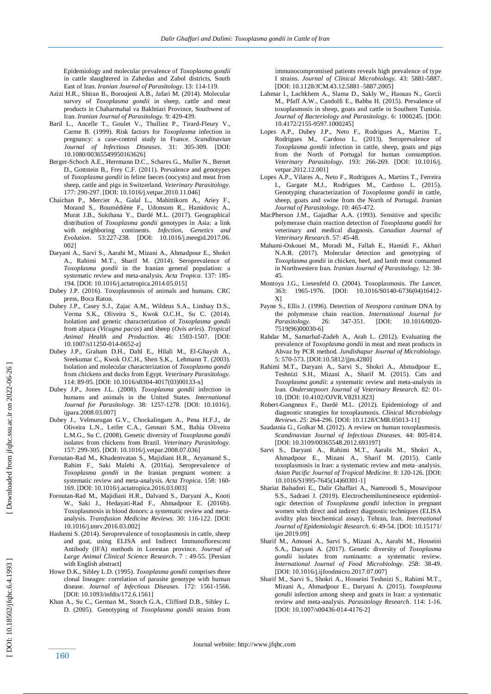Epidemiology and molecular prevalence of *Toxoplasma gondii* in cattle slaughtered in Zahedan and Zabol districts, South East of Iran. *Iranian Journal of Parasitology.* 13: 114 -119.

- Azizi H.R ., Shiran B., Boroujeni A.B., Jafari M. (2014). Molecular survey of *Toxoplasma gondii* in sheep, cattle and meat products in Chaharmahal va Bakhtiari Province, Southwest of Iran. *Iranian Journal of Parasitology.* 9: 429 -439.
- Baril L., Ancelle T., Goulet V., Thulliez P., Tirard -Fleury V., Carme B. (1999). Risk factors for *Toxoplasma* infection in pregnancy: a case -control study in France. *Scandinavian Journal of Infectious Diseases.* 31: 305 -309. [DOI: 10.1080/00365549950163626]
- Berger -Schoch A.E ., Herrmann D.C ., Schares G., Muller N., Bernet D., Gottstein B., Frey C.F. (2011). Prevalence and genotypes of *Toxoplasma gondii* in feline faeces (oocysts) and meat from sheep, cattle and pigs in Switzerland. *Veterinary Parasitology.*  177: 290 -297. [DOI: 10.1016/j.vetpar.2010.11.046]
- Chaichan P., Mercier A., Galal L., Mahittikorn A., Ariey F., Morand S., Boumédiène F., Udonsom R., Hamidovic A., Murat J.B., Sukthana Y., Dardé M.L. (2017). Geographical distribution of *Toxoplasma gondii* genotypes in Asia: a link with neighboring continents. *Infection, Genetics and Evolution*. 53:227 -238. [DOI: 10.1016/j.meegid.2017.06. 002]
- Daryani A., Sarvi S., Aarabi M., Mizani A., Ahmadpour E., Shokri A., Rahimi M.T., Sharif M. (2014). Seroprevalence of *Toxoplasma gondii* in the Iranian general population: a systematic review and meta-analysis. Acta Tropica. 137: 185-194. [DOI: 10.1016/j.actatropica.2014.05.015]
- Dubey J.P. (2016). Toxoplasmosis of animals and humans. CRC press, Boca Raton.
- Dubey J.P., Casey S.J., Zajac A.M., Wildeus S.A., Lindsay D.S., Verma S.K., Oliveira S., Kwok O.C.H., Su C. (2014). Isolation and genetic characterization of *Toxoplasma gondii* from alpaca (*Vicugna pacos*) and sheep (*Ovis aries*). *Tropical Animal Health and Production*. 46: 1503 -1507. [DOI: 10.1007/s11250 -014 -0652 -z]
- Dubey J.P ., Graham D.H., Dahl E., Hilali M., El -Ghaysh A., Sreekumar C., Kwok O.C.H., Shen S.K., Lehmann T. (2003). Isolation and molecular characterization of *Toxoplasma gondii* from chickens and ducks from Egypt. *Veterinary Parasitology.*  114: 89 -95. [DOI: 10.1016/s0304 -4017(03)00133 -x]
- Dubey J.P ., Jones J.L. (2008). *Toxoplasma gondii* infection in humans and animals in the United States. *International Journal for Parasitology*. 38: 1257 -1278. [DOI: 10.1016/j. ijpara.2008.03.007]
- Dubey J., Velmurugan G.V., Chockalingam A., Pena H.F.J., de Oliveira L.N., Leifer C.A., Gennari S.M., Bahia Oliveira L.M.G., Su C. (2008). Genetic diversity of *Toxoplasma gondii* isolates from chickens from Brazil. *Veterinary Parasitology.*  157: 299 -305. [DOI: 10.1016/j.vetpar.2008.07.036]
- Foroutan -Rad M., Khademvatan S., Majidiani H.R., Aryamand S., Rahim F., Saki Malehi A. (2016 a). Seroprevalence of *Toxoplasma gondii* in the Iranian pregnant women: a systematic review and meta -analysis. *Acta Tropica.* 158: 160 - 169. [DOI: 10.1016/j.actatropica.2016.03.003]
- Foroutan -Rad M., Majidiani H.R., Dalvand S., Daryani A., Kooti W., Saki J., Hedayati -Rad F., Ahmadpour E. (2016 b). Toxoplasmosis in blood donors: a systematic review and meta analysis. *Transfusion Medicine Reviews.* 30: 116 -122. [DOI: 10.1016/j.tmrv.2016.03.002]
- Hashemi S. (2014). Seroprevalence of toxoplasmosis in cattle, sheep and goat, using ELISA and Indirect Immunoflorescent Antibody (IFA) methods in Lorestan province. *Journal of Large Animal Clinical Science Research*. 7 : 49 -55. [Persian with English abstract]
- Howe D.K., Sibley L.D. (1995). *Toxoplasma gondii* comprises three clonal lineages: correlation of parasite genotype with human disease. *Journal of Infectious Diseases.* 172: 1561 -1566. [DOI: 10.1093/infdis/172.6.1561]
- Khan A., Su C., German M., Storch G.A., Clifford D.B., Sibley L. D. (2005). Genotyping of *Toxoplasma gondii* strains from

 immunocompromised patients reveals high prevalence of type I strains. *Journal of Clinical Microbiology.* 43: 5881 -5887. [DOI: 10.1128/JCM.43.12.5881 –5887.2005]

- Lahmar I., Lachkhem A., Slama D., Sakly W., Haouas N., Gorcii M., Pfaff A.W., Candolfi E., Babba H. (2015). Prevalence of toxoplasmosis in sheep, goats and cattle in Southern Tunisia. *Journal of Bacteriology and Parasitology*. 6: 1000245. [DOI: 10.4172/2155 -9597.1000245]
- Lopes A.P., Dubey J.P., Neto F., Rodrigues A., Martins T., Rodrigues M., Cardoso L. (2013). Seroprevalence of *Toxoplasma gondii* infection in cattle, sheep, goats and pigs from the North of Portugal for human consumption. *Veterinary Parasitology.* 193: 266 -269. [DOI: 10.1016/j. vetpar. 2012.12.0011
- Lopes A.P., Vilares A., Neto F., Rodrigues A., Martins T., Ferreira I., Gargate M.J., Rodrigues M., Cardoso L. (2015). Genotyping characterization of *Toxoplasma gondii* in cattle, sheep, goats and swine from the North of Portugal. *Iranian Journal of Parasitology.* 10: 465 -472.
- MacPherson J.M., Gajadhar A.A. (1993). Sensitive and specific polymerase chain reaction detection of *Toxoplasma gondii* for veterinary and medical diagnosis. *Canadian Journal of Veterinary Research*. 57: 45 -48.
- Mahami -Oskouei M., Moradi M., Fallah E., Hamidi F., Akbari N.A.R. (2017). Molecular detection and genotyping of *Toxoplasma gondii* in chicken, beef, and lamb meat consumed in Northwestern Iran. *Iranian Journal of Parasitology.* 12: 38 - 45.
- Montoya J.G., Liesenfeld O. (2004). Toxoplasmosis. *The Lancet.*  363: 1965 -1976. [DOI: 10.1016/S0140 -6736(04)16412 - X]
- Payne S., Ellis J. (1996). Detection of *Neospora caninum* DNA by the polymerase chain reaction. *International Journal for Parasitology.* 26: 347-351. [DOI: 10.1016/0020 7519(96)00030 -6]
- Rahdar M., Samarbaf -Zadeh A., Arab L. (2012). Evaluating the prevalence of *Toxoplasma gondii* in meat and meat products in Ahvaz by PCR method. *Jundishapur Journal of Microbiology.*  5: 570 -573. [DOI:10.5812/jjm.4280]
- Rahimi M.T., Daryani A., Sarvi S., Shokri A., Ahmadpour E., Teshnizi S.H., Mizani A., Sharif M. (2015). Cats and *Toxoplasma gondii*: a systematic review and meta -analysis in Iran. *Onderstepoort Journal of Veterinary Research.* 82: 01 - 10. [DOI: 10.4102/OJVR.V82I1.823]
- Robert -Gangneux F., Dardé M.L. (2012). Epidemiology of and diagnostic strategies for toxoplasmosis. *Clinical Microbiology Reviews. 25*: 264 -296. [DOI: 10.1128/CMR.05013 -11]
- Saadatnia G., Golkar M. (2012). A review on human toxoplasmosis. *Scandinavian Journal of Infectious Diseases.* 44: 805 -814. [DOI: 10.3109/00365548.2012.693197]
- Sarvi S., Daryani A., Rahimi M.T., Aarabi M., Shokri A., Ahmadpour E., Mizani A., Sharif M. (2015). Cattle toxoplasmosis in Iran: a systematic review and meta –analysis. *Asian Pacific Journal of Tropical Medicine.* 8: 120 -126. [DOI: 10.1016/S1995 -7645(14)60301 -1]
- Shariat Bahadori E., Dalir Ghaffari A., Namroodi S., Mosavipour S.S., Sadraei J. (2019). Electrochemiluminesence epidemiologic detection of *Toxoplasma gondii* infection in pregnant women with direct and indirect diagnostic techniques (ELISA avidity plus biochemical assay), Tehran, Iran. *International Journal of Epidemiologic Research*. 6 : 49 -54. [DOI: 10.15171/ ijer.2019.09]
- Sharif M., Amouei A., Sarvi S., Mizani A., Aarabi M., Hosseini S.A., Daryani A. (2017). Genetic diversity of *Toxoplasma gondii* isolates from ruminants: a systematic review. *International Journal of Food Microbiology.* 258: 38 -49. [DOI: 10.1016/j.ijfoodmicro.2017.07.007]
- Sharif M., Sarvi S., Shokri A., Hosseini Teshnizi S., Rahimi M.T., Mizani A., Ahmadpour E., Daryani A. (2015). *Toxoplasma gondii* infection among sheep and goats in Iran: a systematic review and meta -analysis. *Parasitology Research*. 114: 1 -16. [DOI: 10.1007/s00436-014-4176-2]